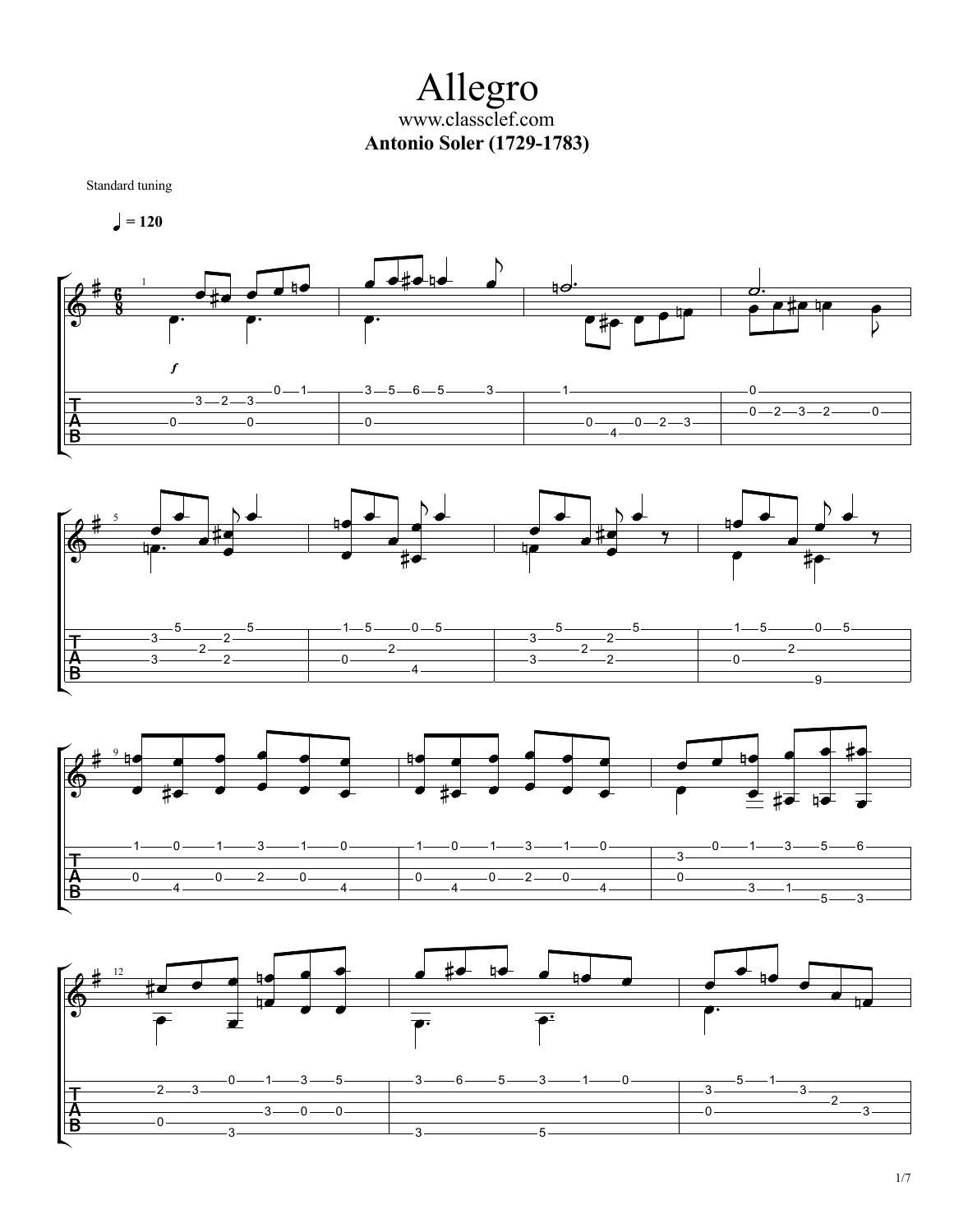## Allegro www.classclef.com **Antonio Soler(1729-1783)**

Standard tuning

 $= 120$ 

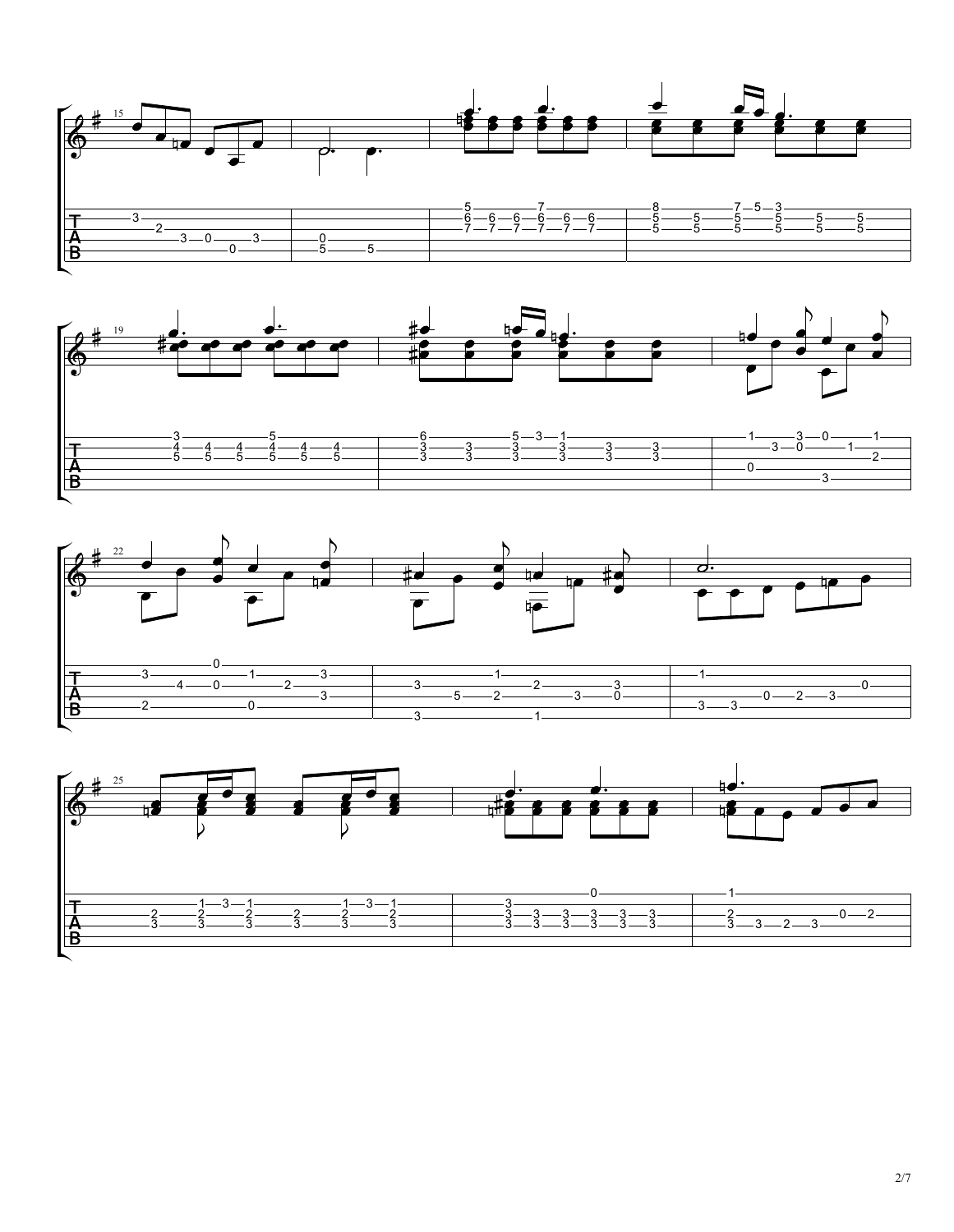





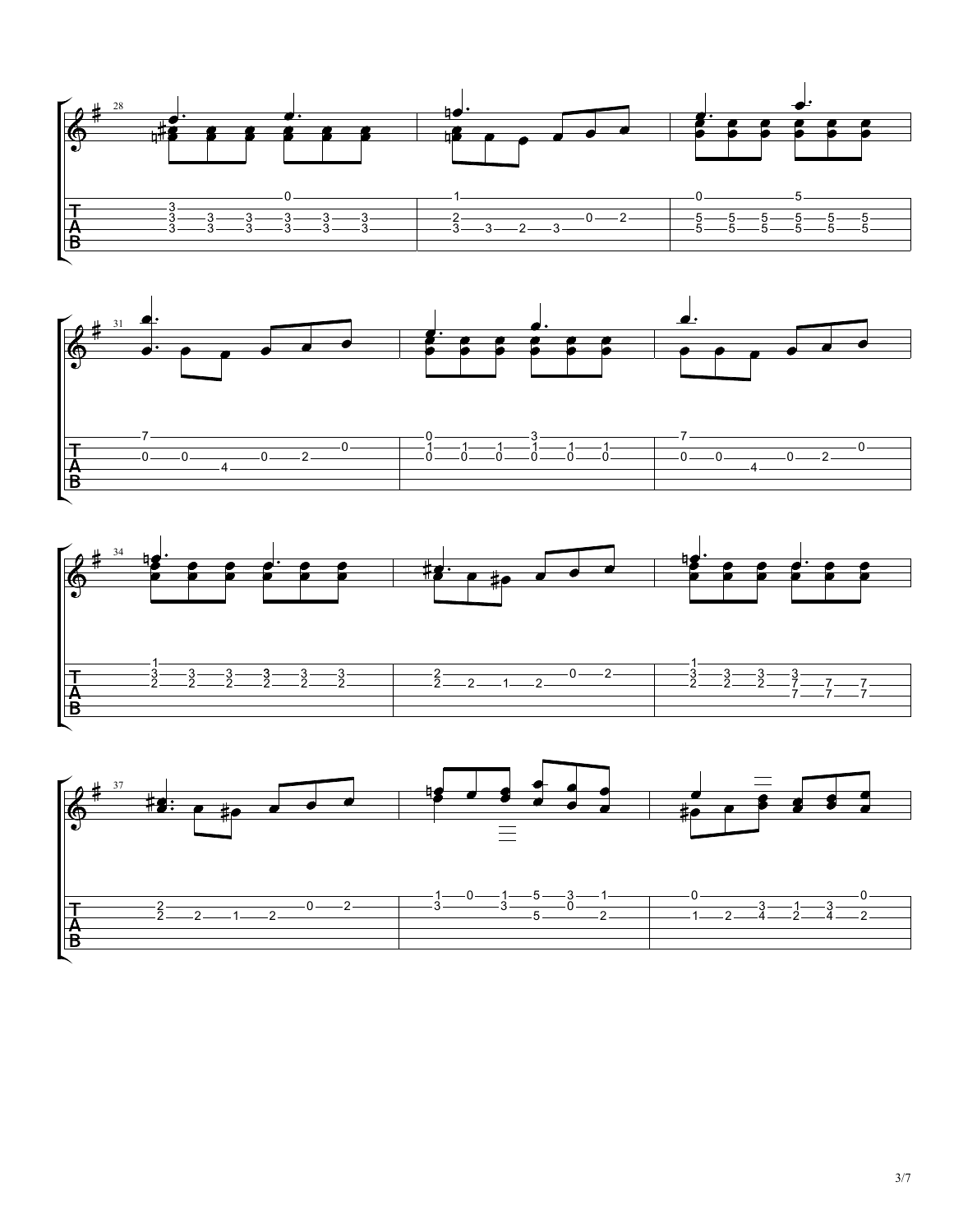





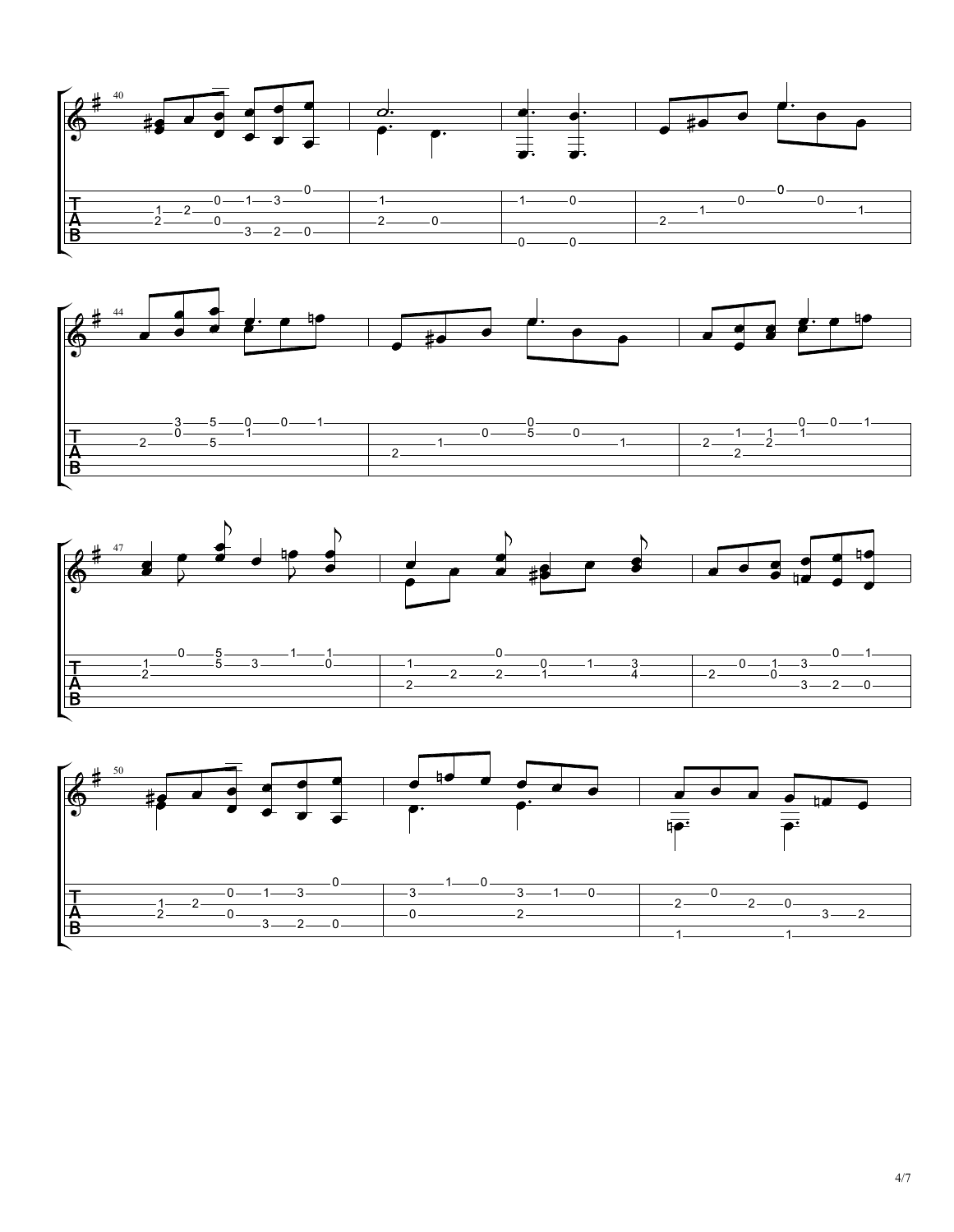





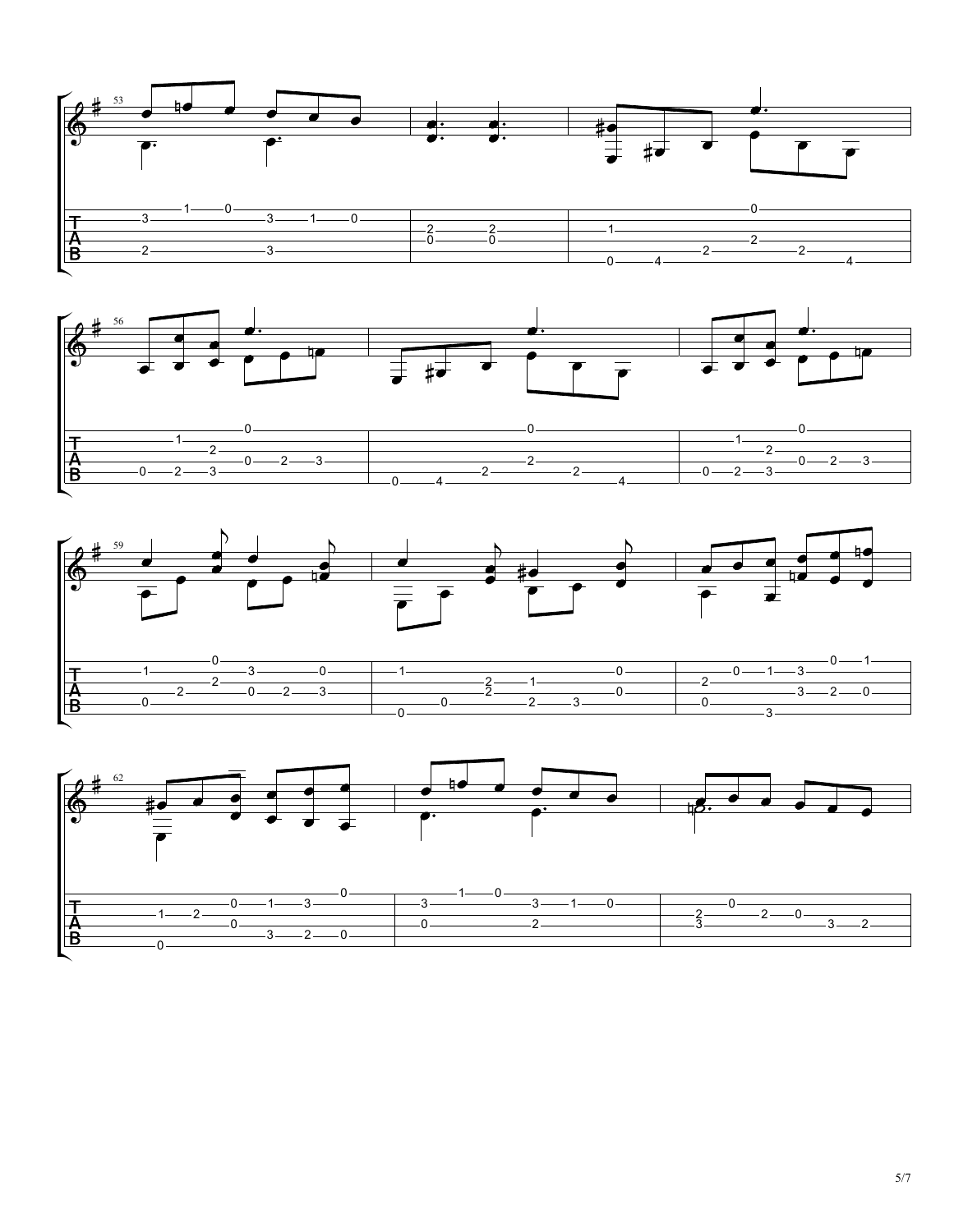





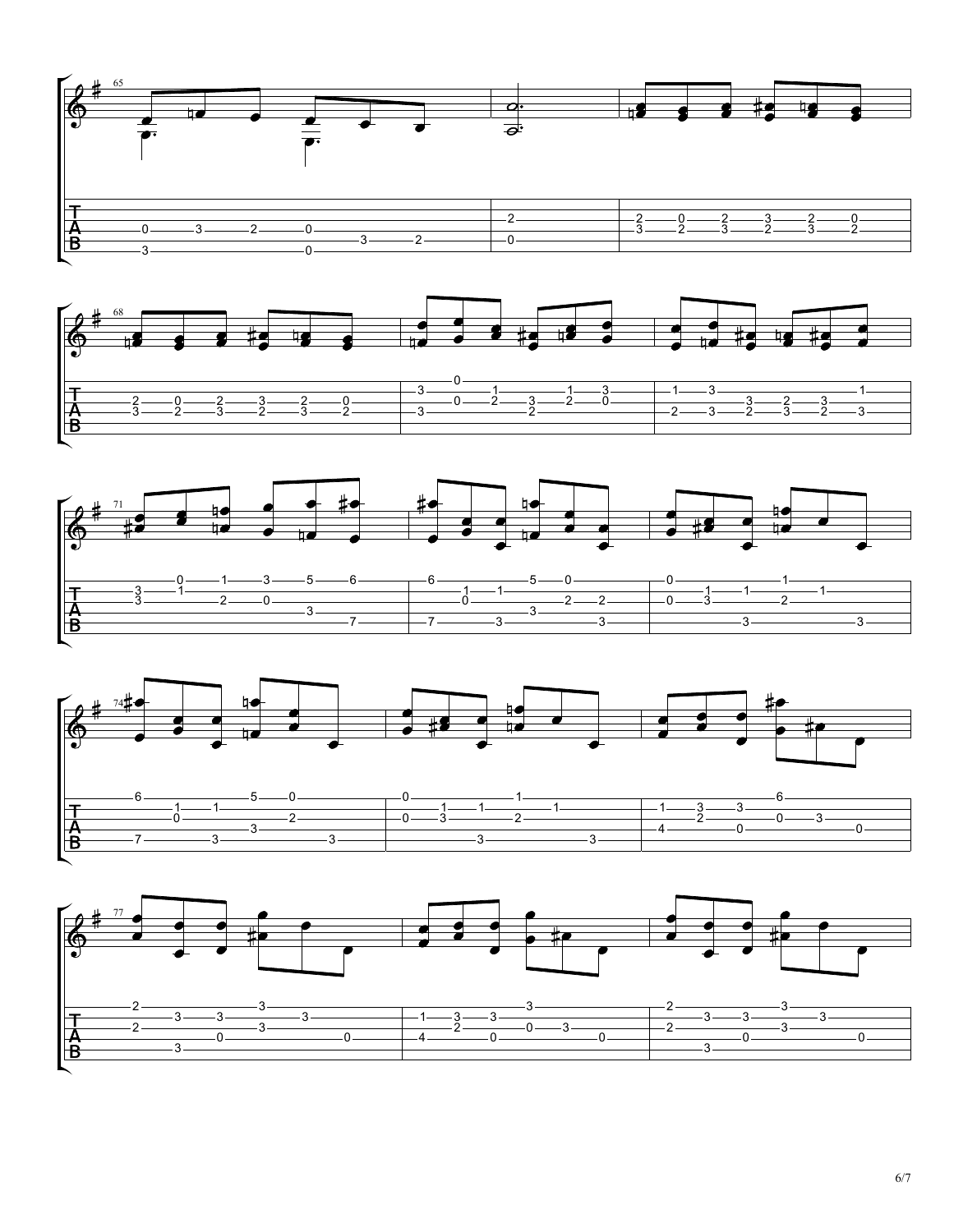